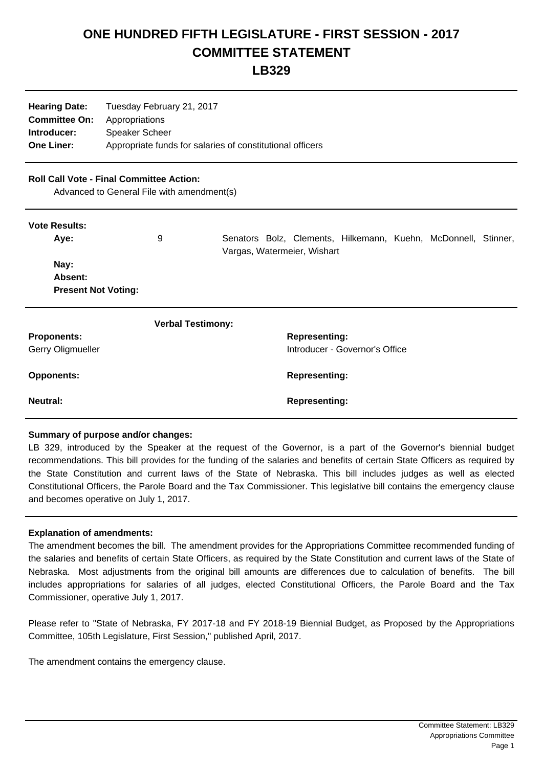## **ONE HUNDRED FIFTH LEGISLATURE - FIRST SESSION - 2017 COMMITTEE STATEMENT**

**LB329**

| <b>Hearing Date:</b> | Tuesday February 21, 2017                                 |
|----------------------|-----------------------------------------------------------|
| <b>Committee On:</b> | Appropriations                                            |
| Introducer:          | <b>Speaker Scheer</b>                                     |
| <b>One Liner:</b>    | Appropriate funds for salaries of constitutional officers |

**Neutral: Representing:** 

## **Roll Call Vote - Final Committee Action:**

Advanced to General File with amendment(s)

| <b>Vote Results:</b> |
|----------------------|
|                      |

| , , , , , , , , , , , , , , , , |                          |  |  |                                |                                                                |  |  |  |  |
|---------------------------------|--------------------------|--|--|--------------------------------|----------------------------------------------------------------|--|--|--|--|
| Aye:                            | 9                        |  |  | Vargas, Watermeier, Wishart    | Senators Bolz, Clements, Hilkemann, Kuehn, McDonnell, Stinner, |  |  |  |  |
| Nay:                            |                          |  |  |                                |                                                                |  |  |  |  |
| Absent:                         |                          |  |  |                                |                                                                |  |  |  |  |
| <b>Present Not Voting:</b>      |                          |  |  |                                |                                                                |  |  |  |  |
|                                 | <b>Verbal Testimony:</b> |  |  |                                |                                                                |  |  |  |  |
| <b>Proponents:</b>              |                          |  |  | <b>Representing:</b>           |                                                                |  |  |  |  |
| Gerry Oligmueller               |                          |  |  | Introducer - Governor's Office |                                                                |  |  |  |  |
| <b>Opponents:</b>               |                          |  |  | <b>Representing:</b>           |                                                                |  |  |  |  |
|                                 |                          |  |  |                                |                                                                |  |  |  |  |

## **Summary of purpose and/or changes:**

LB 329, introduced by the Speaker at the request of the Governor, is a part of the Governor's biennial budget recommendations. This bill provides for the funding of the salaries and benefits of certain State Officers as required by the State Constitution and current laws of the State of Nebraska. This bill includes judges as well as elected Constitutional Officers, the Parole Board and the Tax Commissioner. This legislative bill contains the emergency clause and becomes operative on July 1, 2017.

## **Explanation of amendments:**

The amendment becomes the bill. The amendment provides for the Appropriations Committee recommended funding of the salaries and benefits of certain State Officers, as required by the State Constitution and current laws of the State of Nebraska. Most adjustments from the original bill amounts are differences due to calculation of benefits. The bill includes appropriations for salaries of all judges, elected Constitutional Officers, the Parole Board and the Tax Commissioner, operative July 1, 2017.

Please refer to "State of Nebraska, FY 2017-18 and FY 2018-19 Biennial Budget, as Proposed by the Appropriations Committee, 105th Legislature, First Session," published April, 2017.

The amendment contains the emergency clause.